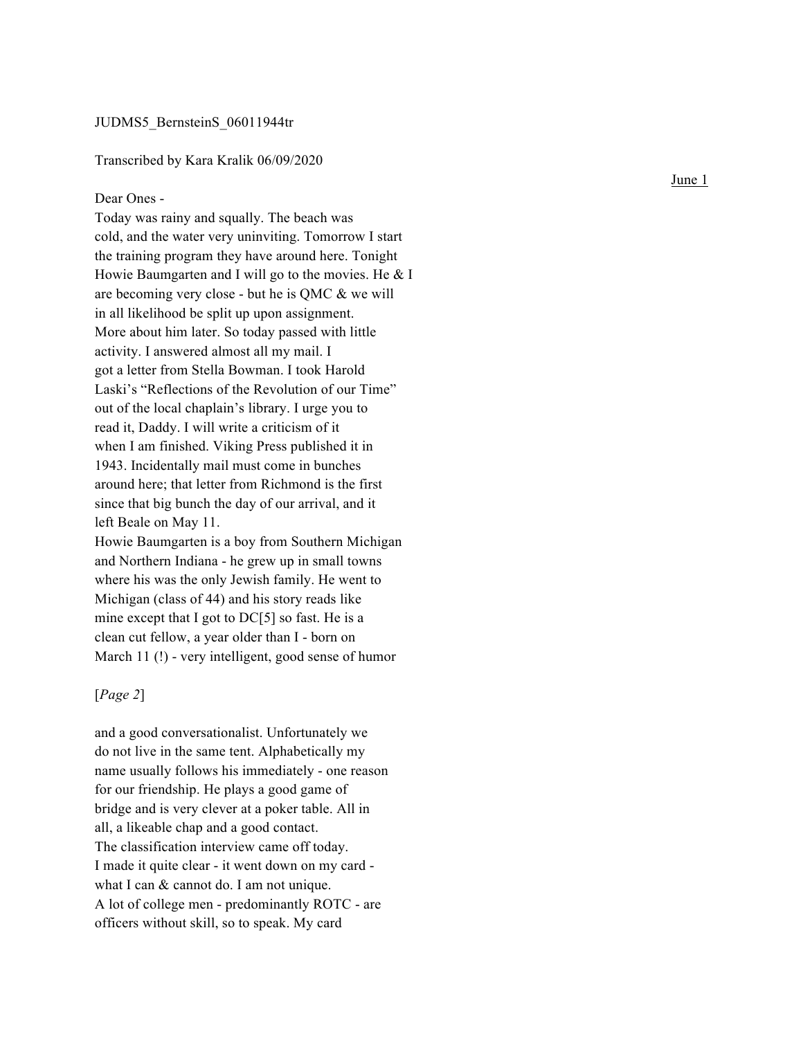# JUDMS5\_BernsteinS\_06011944tr

# Transcribed by Kara Kralik 06/09/2020

#### Dear Ones -

Today was rainy and squally. The beach was cold, and the water very uninviting. Tomorrow I start the training program they have around here. Tonight Howie Baumgarten and I will go to the movies. He & I are becoming very close - but he is QMC & we will in all likelihood be split up upon assignment. More about him later. So today passed with little activity. I answered almost all my mail. I got a letter from Stella Bowman. I took Harold Laski's "Reflections of the Revolution of our Time" out of the local chaplain's library. I urge you to read it, Daddy. I will write a criticism of it when I am finished. Viking Press published it in 1943. Incidentally mail must come in bunches around here; that letter from Richmond is the first since that big bunch the day of our arrival, and it left Beale on May 11.

Howie Baumgarten is a boy from Southern Michigan and Northern Indiana - he grew up in small towns where his was the only Jewish family. He went to Michigan (class of 44) and his story reads like mine except that I got to DC[5] so fast. He is a clean cut fellow, a year older than I - born on March 11 (!) - very intelligent, good sense of humor

#### [*Page 2* ]

and a good conversationalist. Unfortunately we do not live in the same tent. Alphabetically my name usually follows his immediately - one reason for our friendship. He plays a good game of bridge and is very clever at a poker table. All in all, a likeable chap and a good contact. The classification interview came off today. I made it quite clear - it went down on my card what I can & cannot do. I am not unique. A lot of college men - predominantly ROTC - are officers without skill, so to speak. My card

June 1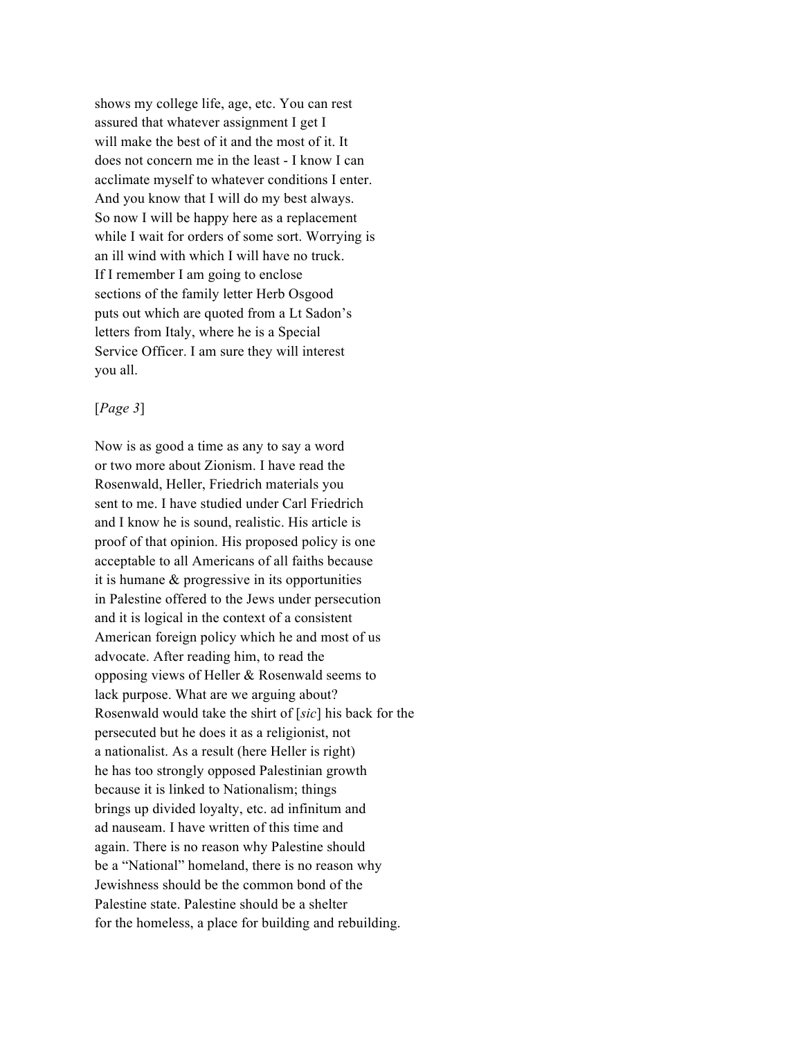shows my college life, age, etc. You can rest assured that whatever assignment I get I will make the best of it and the most of it. It does not concern me in the least - I know I can acclimate myself to whatever conditions I enter. And you know that I will do my best always. So now I will be happy here as a replacement while I wait for orders of some sort. Worrying is an ill wind with which I will have no truck. If I remember I am going to enclose sections of the family letter Herb Osgood puts out which are quoted from a Lt Sadon's letters from Italy, where he is a Special Service Officer. I am sure they will interest you all.

### [*Page 3*]

Now is as good a time as any to say a word or two more about Zionism. I have read the Rosenwald, Heller, Friedrich materials you sent to me. I have studied under Carl Friedrich and I know he is sound, realistic. His article is proof of that opinion. His proposed policy is one acceptable to all Americans of all faiths because it is humane & progressive in its opportunities in Palestine offered to the Jews under persecution and it is logical in the context of a consistent American foreign policy which he and most of us advocate. After reading him, to read the opposing views of Heller & Rosenwald seems to lack purpose. What are we arguing about? Rosenwald would take the shirt of [*sic*] his back for the persecuted but he does it as a religionist, not a nationalist. As a result (here Heller is right) he has too strongly opposed Palestinian growth because it is linked to Nationalism; things brings up divided loyalty, etc. ad infinitum and ad nauseam. I have written of this time and again. There is no reason why Palestine should be a "National" homeland, there is no reason why Jewishness should be the common bond of the Palestine state. Palestine should be a shelter for the homeless, a place for building and rebuilding.